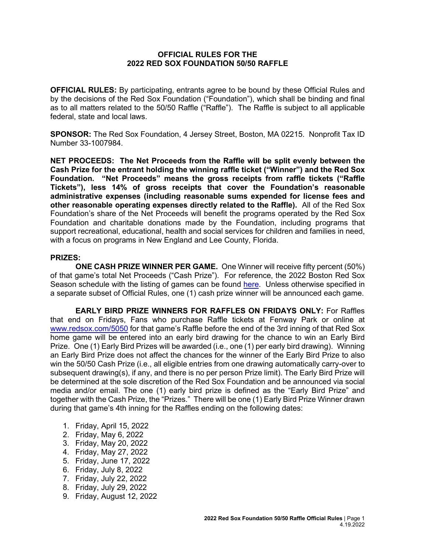## **OFFICIAL RULES FOR THE 2022 RED SOX FOUNDATION 50/50 RAFFLE**

**OFFICIAL RULES:** By participating, entrants agree to be bound by these Official Rules and by the decisions of the Red Sox Foundation ("Foundation"), which shall be binding and final as to all matters related to the 50/50 Raffle ("Raffle"). The Raffle is subject to all applicable federal, state and local laws.

**SPONSOR:** The Red Sox Foundation, 4 Jersey Street, Boston, MA 02215. Nonprofit Tax ID Number 33-1007984.

**NET PROCEEDS: The Net Proceeds from the Raffle will be split evenly between the Cash Prize for the entrant holding the winning raffle ticket ("Winner") and the Red Sox Foundation. "Net Proceeds" means the gross receipts from raffle tickets ("Raffle Tickets"), less 14% of gross receipts that cover the Foundation's reasonable administrative expenses (including reasonable sums expended for license fees and other reasonable operating expenses directly related to the Raffle).** All of the Red Sox Foundation's share of the Net Proceeds will benefit the programs operated by the Red Sox Foundation and charitable donations made by the Foundation, including programs that support recreational, educational, health and social services for children and families in need, with a focus on programs in New England and Lee County, Florida.

## **PRIZES:**

**ONE CASH PRIZE WINNER PER GAME.** One [Winner](http://winner/) will receive fifty percent (50%) of that game's total Net Proceeds ("Cash Prize"). For reference, the 2022 Boston Red Sox Season schedule with the listing of games can be found [here.](https://www.mlb.com/redsox/schedule) Unless otherwise specified in a separate subset of Official Rules, one (1) cash prize winner will be announced each game.

**EARLY BIRD PRIZE WINNERS FOR RAFFLES ON FRIDAYS ONLY:** For Raffles that end on Fridays, Fans who purchase Raffle tickets at Fenway Park or online at [www.redsox.com/5050](http://www.redsox.com/5050) for that game's Raffle before the end of the 3rd inning of that Red Sox home game will be entered into an early bird drawing for the chance to win an Early Bird Prize. One (1) Early Bird Prizes will be awarded (i.e., one (1) per early bird drawing). Winning an Early Bird Prize does not affect the chances for the winner of the Early Bird Prize to also win the 50/50 Cash Prize (i.e., all eligible entries from one drawing automatically carry-over to subsequent drawing(s), if any, and there is no per person Prize limit). The Early Bird Prize will be determined at the sole discretion of the Red Sox Foundation and be announced via social media and/or email. The one (1) early bird prize is defined as the "Early Bird Prize" and together with the Cash Prize, the "Prizes." There will be one (1) Early Bird Prize Winner drawn during that game's 4th inning for the Raffles ending on the following dates:

- 1. Friday, April 15, 2022
- 2. Friday, May 6, 2022
- 3. Friday, May 20, 2022
- 4. Friday, May 27, 2022
- 5. Friday, June 17, 2022
- 6. Friday, July 8, 2022
- 7. Friday, July 22, 2022
- 8. Friday, July 29, 2022
- 9. Friday, August 12, 2022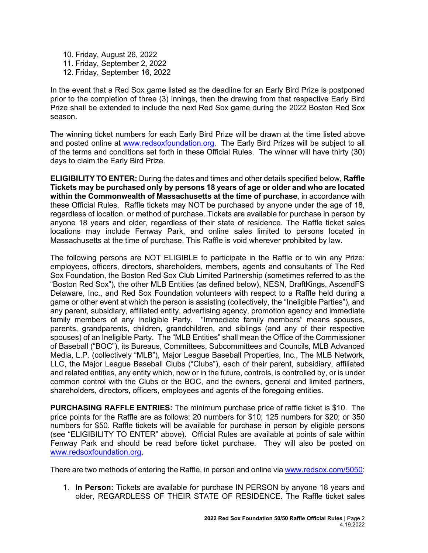10. Friday, August 26, 2022 11. Friday, September 2, 2022 12. Friday, September 16, 2022

In the event that a Red Sox game listed as the deadline for an Early Bird Prize is postponed prior to the completion of three (3) innings, then the drawing from that respective Early Bird Prize shall be extended to include the next Red Sox game during the 2022 Boston Red Sox season.

The winning ticket numbers for each Early Bird Prize will be drawn at the time listed above and posted online at [www.redsoxfoundation.org.](http://www.redsoxfoundation.org/) The Early Bird Prizes will be subject to all of the terms and conditions set forth in these Official Rules. The winner will have thirty (30) days to claim the Early Bird Prize.

**ELIGIBILITY TO ENTER:** During the dates and times and other details specified below, **Raffle Tickets may be purchased only by persons 18 years of age or older and who are located within the Commonwealth of Massachusetts at the time of purchase**, in accordance with these Official Rules. Raffle tickets may NOT be purchased by anyone under the age of 18, regardless of location. or method of purchase. Tickets are available for purchase in person by anyone 18 years and older, regardless of their state of residence. The Raffle ticket sales locations may include Fenway Park, and online sales limited to persons located in Massachusetts at the time of purchase. This Raffle is void wherever prohibited by law.

The following persons are NOT ELIGIBLE to participate in the Raffle or to win any Prize: employees, officers, directors, shareholders, members, agents and consultants of The Red Sox Foundation, the Boston Red Sox Club Limited Partnership (sometimes referred to as the "Boston Red Sox"), the other MLB Entities (as defined below), NESN, DraftKings, AscendFS Delaware, Inc., and Red Sox Foundation volunteers with respect to a Raffle held during a game or other event at which the person is assisting (collectively, the "Ineligible Parties"), and any parent, subsidiary, affiliated entity, advertising agency, promotion agency and immediate family members of any Ineligible Party. "Immediate family members" means spouses, parents, grandparents, children, grandchildren, and siblings (and any of their respective spouses) of an Ineligible Party. The "MLB Entities" shall mean the Office of the Commissioner of Baseball ("BOC"), its Bureaus, Committees, Subcommittees and Councils, MLB Advanced Media, L.P. (collectively "MLB"), Major League Baseball Properties, Inc., The MLB Network, LLC, the Major League Baseball Clubs ("Clubs"), each of their parent, subsidiary, affiliated and related entities, any entity which, now or in the future, controls, is controlled by, or is under common control with the Clubs or the BOC, and the owners, general and limited partners, shareholders, directors, officers, employees and agents of the foregoing entities.

**PURCHASING RAFFLE ENTRIES:** The minimum purchase price of raffle ticket is \$10. The price points for the Raffle are as follows: 20 numbers for \$10; 125 numbers for \$20; or 350 numbers for \$50. Raffle tickets will be available for purchase in person by eligible persons (see "ELIGIBILITY TO ENTER" above). Official Rules are available at points of sale within Fenway Park and should be read before ticket purchase. They will also be posted on [www.redsoxfoundation.org.](http://www.redsoxfoundation.org/)

There are two methods of entering the Raffle, in person and online vi[a www.redsox.com/5050:](http://www.redsox.com/5050)

1. **In Person:** Tickets are available for purchase IN PERSON by anyone 18 years and older, REGARDLESS OF THEIR STATE OF RESIDENCE. The Raffle ticket sales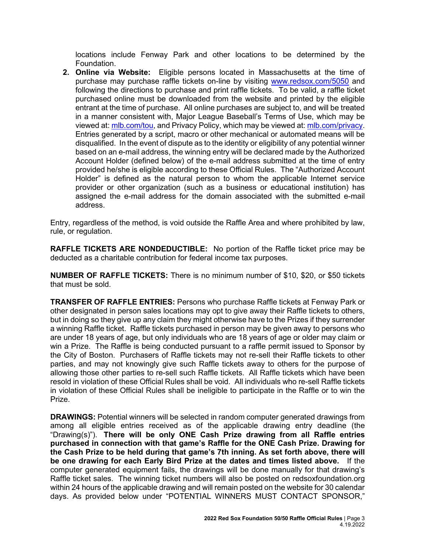locations include Fenway Park and other locations to be determined by the Foundation.

**2. Online via Website:** Eligible persons located in Massachusetts at the time of purchase may purchase raffle tickets on-line by visiting [www.redsox.com/5050](http://www.redsox.com/5050) and following the directions to purchase and print raffle tickets. To be valid, a raffle ticket purchased online must be downloaded from the website and printed by the eligible entrant at the time of purchase. All online purchases are subject to, and will be treated in a manner consistent with, Major League Baseball's Terms of Use, which may be viewed at[: mlb.com/tou,](http://mlb.mlb.com/mlb/official_info/about_mlb_com/terms_of_use.jsp) and Privacy Policy, which may be viewed at[: mlb.com/privacy.](http://www.mlb.com/privacy) Entries generated by a script, macro or other mechanical or automated means will be disqualified. In the event of dispute as to the identity or eligibility of any potential winner based on an e-mail address, the winning entry will be declared made by the Authorized Account Holder (defined below) of the e-mail address submitted at the time of entry provided he/she is eligible according to these Official Rules. The "Authorized Account Holder" is defined as the natural person to whom the applicable Internet service provider or other organization (such as a business or educational institution) has assigned the e-mail address for the domain associated with the submitted e-mail address.

Entry, regardless of the method, is void outside the Raffle Area and where prohibited by law, rule, or regulation.

**RAFFLE TICKETS ARE NONDEDUCTIBLE:** No portion of the Raffle ticket price may be deducted as a charitable contribution for federal income tax purposes.

**NUMBER OF RAFFLE TICKETS:** There is no minimum number of \$10, \$20, or \$50 tickets that must be sold.

**TRANSFER OF RAFFLE ENTRIES:** Persons who purchase Raffle tickets at Fenway Park or other designated in person sales locations may opt to give away their Raffle tickets to others, but in doing so they give up any claim they might otherwise have to the Prizes if they surrender a winning Raffle ticket. Raffle tickets purchased in person may be given away to persons who are under 18 years of age, but only individuals who are 18 years of age or older may claim or win a Prize. The Raffle is being conducted pursuant to a raffle permit issued to Sponsor by the City of Boston. Purchasers of Raffle tickets may not re-sell their Raffle tickets to other parties, and may not knowingly give such Raffle tickets away to others for the purpose of allowing those other parties to re-sell such Raffle tickets. All Raffle tickets which have been resold in violation of these Official Rules shall be void. All individuals who re-sell Raffle tickets in violation of these Official Rules shall be ineligible to participate in the Raffle or to win the Prize.

**DRAWINGS:** Potential winners will be selected in random computer generated drawings from among all eligible entries received as of the applicable drawing entry deadline (the "Drawing(s)"). **There will be only ONE Cash Prize drawing from all Raffle entries purchased in connection with that game's Raffle for the ONE Cash Prize. Drawing for the Cash Prize to be held during that game's 7th inning. As set forth above, there will be one drawing for each Early Bird Prize at the dates and times listed above.** If the computer generated equipment fails, the drawings will be done manually for that drawing's Raffle ticket sales. The winning ticket numbers will also be posted on redsoxfoundation.org within 24 hours of the applicable drawing and will remain posted on the website for 30 calendar days. As provided below under "POTENTIAL WINNERS MUST CONTACT SPONSOR,"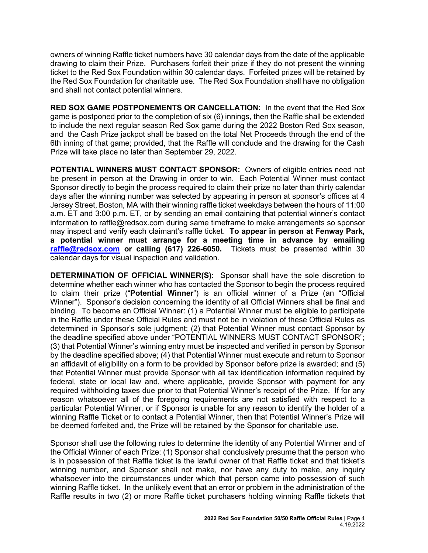owners of winning Raffle ticket numbers have 30 calendar days from the date of the applicable drawing to claim their Prize. Purchasers forfeit their prize if they do not present the winning ticket to the Red Sox Foundation within 30 calendar days. Forfeited prizes will be retained by the Red Sox Foundation for charitable use. The Red Sox Foundation shall have no obligation and shall not contact potential winners.

**RED SOX GAME POSTPONEMENTS OR CANCELLATION:** In the event that the Red Sox game is postponed prior to the completion of six (6) innings, then the Raffle shall be extended to include the next regular season Red Sox game during the 2022 Boston Red Sox season, and the Cash Prize jackpot shall be based on the total Net Proceeds through the end of the 6th inning of that game; provided, that the Raffle will conclude and the drawing for the Cash Prize will take place no later than September 29, 2022.

**POTENTIAL WINNERS MUST CONTACT SPONSOR:** Owners of eligible entries need not be present in person at the Drawing in order to win. Each Potential Winner must contact Sponsor directly to begin the process required to claim their prize no later than thirty calendar days after the winning number was selected by appearing in person at sponsor's offices at 4 Jersey Street, Boston, MA with their winning raffle ticket weekdays between the hours of 11:00 a.m. ET and 3:00 p.m. ET, or by sending an email containing that potential winner's contact information to [raffle@redsox.com](mailto:redsoxraffle@redsox.com) during same timeframe to make arrangements so sponsor may inspect and verify each claimant's raffle ticket. **To appear in person at Fenway Park, a potential winner must arrange for a meeting time in advance by emailing raffle@redsox.com or calling (617) 226-6050.** Tickets must be presented within 30 calendar days for visual inspection and validation.

**DETERMINATION OF OFFICIAL WINNER(S):** Sponsor shall have the sole discretion to determine whether each winner who has contacted the Sponsor to begin the process required to claim their prize ("**Potential Winner**") is an official winner of a Prize (an "Official Winner"). Sponsor's decision concerning the identity of all Official Winners shall be final and binding. To become an Official Winner: (1) a Potential Winner must be eligible to participate in the Raffle under these Official Rules and must not be in violation of these Official Rules as determined in Sponsor's sole judgment; (2) that Potential Winner must contact Sponsor by the deadline specified above under "POTENTIAL WINNERS MUST CONTACT SPONSOR"; (3) that Potential Winner's winning entry must be inspected and verified in person by Sponsor by the deadline specified above; (4) that Potential Winner must execute and return to Sponsor an affidavit of eligibility on a form to be provided by Sponsor before prize is awarded; and (5) that Potential Winner must provide Sponsor with all tax identification information required by federal, state or local law and, where applicable, provide Sponsor with payment for any required withholding taxes due prior to that Potential Winner's receipt of the Prize. If for any reason whatsoever all of the foregoing requirements are not satisfied with respect to a particular Potential Winner, or if Sponsor is unable for any reason to identify the holder of a winning Raffle Ticket or to contact a Potential Winner, then that Potential Winner's Prize will be deemed forfeited and, the Prize will be retained by the Sponsor for charitable use.

Sponsor shall use the following rules to determine the identity of any Potential Winner and of the Official Winner of each Prize: (1) Sponsor shall conclusively presume that the person who is in possession of that Raffle ticket is the lawful owner of that Raffle ticket and that ticket's winning number, and Sponsor shall not make, nor have any duty to make, any inquiry whatsoever into the circumstances under which that person came into possession of such winning Raffle ticket. In the unlikely event that an error or problem in the administration of the Raffle results in two (2) or more Raffle ticket purchasers holding winning Raffle tickets that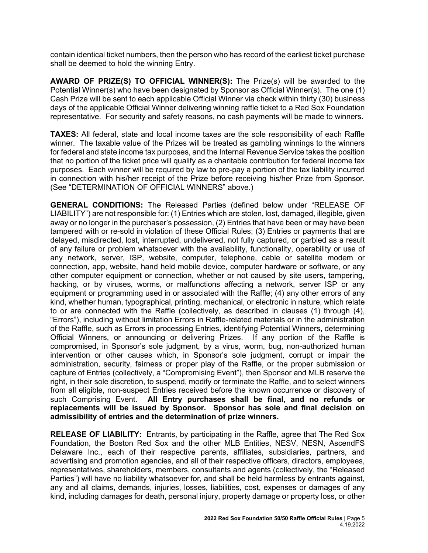contain identical ticket numbers, then the person who has record of the earliest ticket purchase shall be deemed to hold the winning Entry.

**AWARD OF PRIZE(S) TO OFFICIAL WINNER(S):** The Prize(s) will be awarded to the Potential Winner(s) who have been designated by Sponsor as Official Winner(s). The one (1) Cash Prize will be sent to each applicable Official Winner via check within thirty (30) business days of the applicable Official Winner delivering winning raffle ticket to a Red Sox Foundation representative. For security and safety reasons, no cash payments will be made to winners.

**TAXES:** All federal, state and local income taxes are the sole responsibility of each Raffle winner. The taxable value of the Prizes will be treated as gambling winnings to the winners for federal and state income tax purposes, and the Internal Revenue Service takes the position that no portion of the ticket price will qualify as a charitable contribution for federal income tax purposes. Each winner will be required by law to pre-pay a portion of the tax liability incurred in connection with his/her receipt of the Prize before receiving his/her Prize from Sponsor. (See "DETERMINATION OF OFFICIAL WINNERS" above.)

**GENERAL CONDITIONS:** The Released Parties (defined below under "RELEASE OF LIABILITY") are not responsible for: (1) Entries which are stolen, lost, damaged, illegible, given away or no longer in the purchaser's possession, (2) Entries that have been or may have been tampered with or re-sold in violation of these Official Rules; (3) Entries or payments that are delayed, misdirected, lost, interrupted, undelivered, not fully captured, or garbled as a result of any failure or problem whatsoever with the availability, functionality, operability or use of any network, server, ISP, website, computer, telephone, cable or satellite modem or connection, app, website, hand held mobile device, computer hardware or software, or any other computer equipment or connection, whether or not caused by site users, tampering, hacking, or by viruses, worms, or malfunctions affecting a network, server ISP or any equipment or programming used in or associated with the Raffle; (4) any other errors of any kind, whether human, typographical, printing, mechanical, or electronic in nature, which relate to or are connected with the Raffle (collectively, as described in clauses (1) through (4), "Errors"), including without limitation Errors in Raffle-related materials or in the administration of the Raffle, such as Errors in processing Entries, identifying Potential Winners, determining Official Winners, or announcing or delivering Prizes. If any portion of the Raffle is compromised, in Sponsor's sole judgment, by a virus, worm, bug, non-authorized human intervention or other causes which, in Sponsor's sole judgment, corrupt or impair the administration, security, fairness or proper play of the Raffle, or the proper submission or capture of Entries (collectively, a "Compromising Event"), then Sponsor and MLB reserve the right, in their sole discretion, to suspend, modify or terminate the Raffle, and to select winners from all eligible, non-suspect Entries received before the known occurrence or discovery of such Comprising Event. **All Entry purchases shall be final, and no refunds or replacements will be issued by Sponsor. Sponsor has sole and final decision on admissibility of entries and the determination of prize winners.**

**RELEASE OF LIABILITY:** Entrants, by participating in the Raffle, agree that The Red Sox Foundation, the Boston Red Sox and the other MLB Entities, NESV, NESN, AscendFS Delaware Inc., each of their respective parents, affiliates, subsidiaries, partners, and advertising and promotion agencies, and all of their respective officers, directors, employees, representatives, shareholders, members, consultants and agents (collectively, the "Released Parties") will have no liability whatsoever for, and shall be held harmless by entrants against, any and all claims, demands, injuries, losses, liabilities, cost, expenses or damages of any kind, including damages for death, personal injury, property damage or property loss, or other